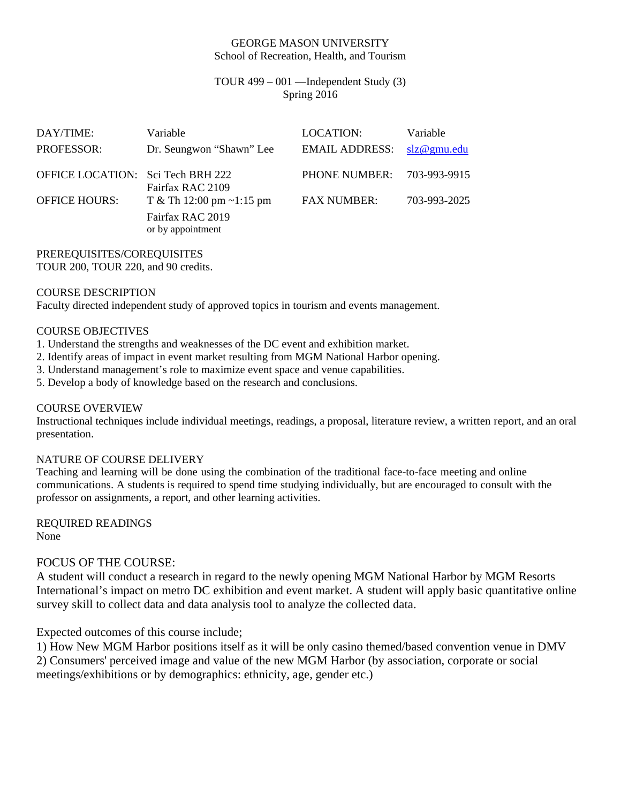#### GEORGE MASON UNIVERSITY School of Recreation, Health, and Tourism

# TOUR 499 – 001 —Independent Study (3) Spring 2016

| DAY/TIME:<br><b>PROFESSOR:</b>    | Variable<br>Dr. Seungwon "Shawn" Lee  | LOCATION:<br><b>EMAIL ADDRESS:</b> | Variable<br>slz@gmu.edu |
|-----------------------------------|---------------------------------------|------------------------------------|-------------------------|
| OFFICE LOCATION: Sci Tech BRH 222 | Fairfax RAC 2109                      | PHONE NUMBER:                      | 703-993-9915            |
| <b>OFFICE HOURS:</b>              | T & Th 12:00 pm $\sim$ 1:15 pm        | <b>FAX NUMBER:</b>                 | 703-993-2025            |
|                                   | Fairfax RAC 2019<br>or by appointment |                                    |                         |

PREREQUISITES/COREQUISITES

TOUR 200, TOUR 220, and 90 credits.

# COURSE DESCRIPTION

Faculty directed independent study of approved topics in tourism and events management.

### COURSE OBJECTIVES

- 1. Understand the strengths and weaknesses of the DC event and exhibition market.
- 2. Identify areas of impact in event market resulting from MGM National Harbor opening.
- 3. Understand management's role to maximize event space and venue capabilities.
- 5. Develop a body of knowledge based on the research and conclusions.

### COURSE OVERVIEW

Instructional techniques include individual meetings, readings, a proposal, literature review, a written report, and an oral presentation.

### NATURE OF COURSE DELIVERY

Teaching and learning will be done using the combination of the traditional face-to-face meeting and online communications. A students is required to spend time studying individually, but are encouraged to consult with the professor on assignments, a report, and other learning activities.

REQUIRED READINGS None

### FOCUS OF THE COURSE:

A student will conduct a research in regard to the newly opening MGM National Harbor by MGM Resorts International's impact on metro DC exhibition and event market. A student will apply basic quantitative online survey skill to collect data and data analysis tool to analyze the collected data.

Expected outcomes of this course include;

1) How New MGM Harbor positions itself as it will be only casino themed/based convention venue in DMV 2) Consumers' perceived image and value of the new MGM Harbor (by association, corporate or social meetings/exhibitions or by demographics: ethnicity, age, gender etc.)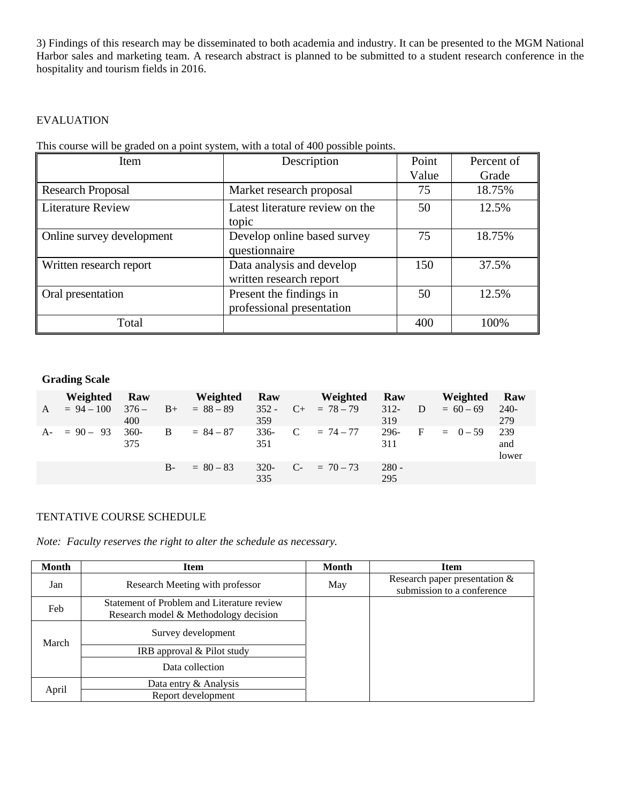3) Findings of this research may be disseminated to both academia and industry. It can be presented to the MGM National Harbor sales and marketing team. A research abstract is planned to be submitted to a student research conference in the hospitality and tourism fields in 2016.

# EVALUATION

This course will be graded on a point system, with a total of 400 possible points.

| Item                      | Description                                          | Point | Percent of |
|---------------------------|------------------------------------------------------|-------|------------|
|                           |                                                      | Value | Grade      |
| <b>Research Proposal</b>  | Market research proposal                             | 75    | 18.75%     |
| <b>Literature Review</b>  | Latest literature review on the<br>topic             | 50    | 12.5%      |
| Online survey development | Develop online based survey<br>questionnaire         | 75    | 18.75%     |
| Written research report   | Data analysis and develop<br>written research report | 150   | 37.5%      |
| Oral presentation         | Present the findings in<br>professional presentation | 50    | 12.5%      |
| Total                     |                                                      | 400   | 100%       |

### **Grading Scale**

| Weighted Raw   |                    |      | Weighted      | <b>Raw</b>    | Weighted              | Raw            | Weighted      | Raw                 |
|----------------|--------------------|------|---------------|---------------|-----------------------|----------------|---------------|---------------------|
| $A = 94 - 100$ | $376 -$<br>400     |      | $B+ = 88-89$  | 359           | $352 - C + = 78 - 79$ | $312 -$<br>319 | $D = 60 - 69$ | 240-<br>279         |
| $A = 90 - 93$  | <b>360-</b><br>375 |      | $B = 84 - 87$ | $336-$<br>351 | $C = 74 - 77$         | 296-<br>311    | $F = 0-59$    | 239<br>and<br>lower |
|                |                    | $B-$ | $= 80 - 83$   | $320-$<br>335 | $C_{-}$ = 70 - 73     | $280 -$<br>295 |               |                     |

### TENTATIVE COURSE SCHEDULE

*Note: Faculty reserves the right to alter the schedule as necessary.* 

| Month | <b>Item</b>                                                                         | <b>Month</b> | <b>Item</b>                                                   |
|-------|-------------------------------------------------------------------------------------|--------------|---------------------------------------------------------------|
| Jan   | Research Meeting with professor                                                     | May          | Research paper presentation $&$<br>submission to a conference |
| Feb   | Statement of Problem and Literature review<br>Research model & Methodology decision |              |                                                               |
| March | Survey development                                                                  |              |                                                               |
|       | IRB approval & Pilot study                                                          |              |                                                               |
|       | Data collection                                                                     |              |                                                               |
| April | Data entry & Analysis                                                               |              |                                                               |
|       | Report development                                                                  |              |                                                               |